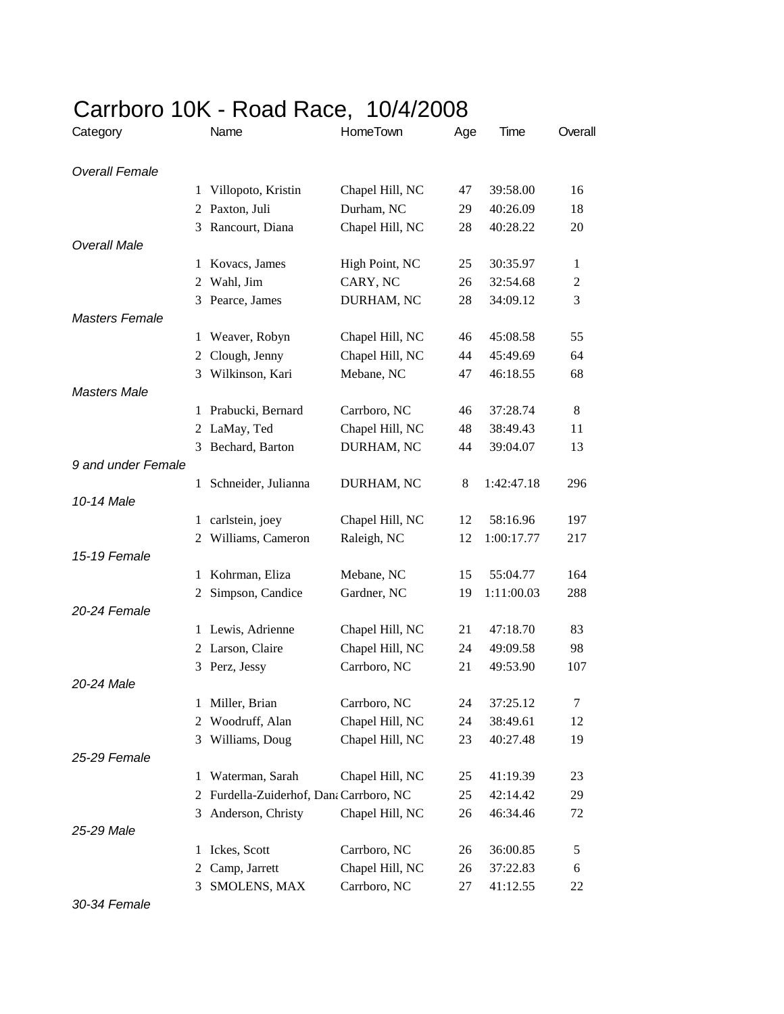## Carrboro 10K - Road Race, 10/4/2008

| Category              |                | Name                                    | HomeTown        | Age | Time       | Overall        |
|-----------------------|----------------|-----------------------------------------|-----------------|-----|------------|----------------|
| <b>Overall Female</b> |                |                                         |                 |     |            |                |
|                       | 1              | Villopoto, Kristin                      | Chapel Hill, NC | 47  | 39:58.00   | 16             |
|                       | 2              | Paxton, Juli                            | Durham, NC      | 29  | 40:26.09   | 18             |
|                       | 3              | Rancourt, Diana                         | Chapel Hill, NC | 28  | 40:28.22   | 20             |
| Overall Male          |                |                                         |                 |     |            |                |
|                       | 1              | Kovacs, James                           | High Point, NC  | 25  | 30:35.97   | 1              |
|                       | $\overline{2}$ | Wahl, Jim                               | CARY, NC        | 26  | 32:54.68   | $\overline{c}$ |
|                       | 3              | Pearce, James                           | DURHAM, NC      | 28  | 34:09.12   | 3              |
| <b>Masters Female</b> |                |                                         |                 |     |            |                |
|                       |                | 1 Weaver, Robyn                         | Chapel Hill, NC | 46  | 45:08.58   | 55             |
|                       | 2              | Clough, Jenny                           | Chapel Hill, NC | 44  | 45:49.69   | 64             |
|                       | 3              | Wilkinson, Kari                         | Mebane, NC      | 47  | 46:18.55   | 68             |
| <b>Masters Male</b>   |                |                                         |                 |     |            |                |
|                       |                | 1 Prabucki, Bernard                     | Carrboro, NC    | 46  | 37:28.74   | 8              |
|                       |                | 2 LaMay, Ted                            | Chapel Hill, NC | 48  | 38:49.43   | 11             |
|                       | 3              | Bechard, Barton                         | DURHAM, NC      | 44  | 39:04.07   | 13             |
| 9 and under Female    |                |                                         |                 |     |            |                |
|                       |                | 1 Schneider, Julianna                   | DURHAM, NC      | 8   | 1:42:47.18 | 296            |
| 10-14 Male            |                |                                         |                 |     |            |                |
|                       |                | 1 carlstein, joey                       | Chapel Hill, NC | 12  | 58:16.96   | 197            |
|                       | 2              | Williams, Cameron                       | Raleigh, NC     | 12  | 1:00:17.77 | 217            |
| 15-19 Female          |                |                                         |                 |     |            |                |
|                       | 1              | Kohrman, Eliza                          | Mebane, NC      | 15  | 55:04.77   | 164            |
|                       |                | 2 Simpson, Candice                      | Gardner, NC     | 19  | 1:11:00.03 | 288            |
| 20-24 Female          |                |                                         |                 |     |            |                |
|                       |                | 1 Lewis, Adrienne                       | Chapel Hill, NC | 21  | 47:18.70   | 83             |
|                       |                | 2 Larson, Claire                        | Chapel Hill, NC | 24  | 49:09.58   | 98             |
|                       |                | 3 Perz, Jessy                           | Carrboro, NC    | 21  | 49:53.90   | 107            |
| 20-24 Male            |                |                                         |                 |     |            |                |
|                       | 1              | Miller, Brian                           | Carrboro, NC    | 24  | 37:25.12   | 7              |
|                       | 2              | Woodruff, Alan                          | Chapel Hill, NC | 24  | 38:49.61   | 12             |
|                       | 3              | Williams, Doug                          | Chapel Hill, NC | 23  | 40:27.48   | 19             |
| 25-29 Female          |                |                                         |                 |     |            |                |
|                       | 1              | Waterman, Sarah                         | Chapel Hill, NC | 25  | 41:19.39   | 23             |
|                       |                | 2 Furdella-Zuiderhof, Dana Carrboro, NC |                 | 25  | 42:14.42   | 29             |
|                       | 3              | Anderson, Christy                       | Chapel Hill, NC | 26  | 46:34.46   | 72             |
| 25-29 Male            |                |                                         |                 |     |            |                |
|                       | 1              | Ickes, Scott                            | Carrboro, NC    | 26  | 36:00.85   | 5              |
|                       | 2              | Camp, Jarrett                           | Chapel Hill, NC | 26  | 37:22.83   | 6              |
|                       | 3              | SMOLENS, MAX                            | Carrboro, NC    | 27  | 41:12.55   | 22             |

*30-34 Female*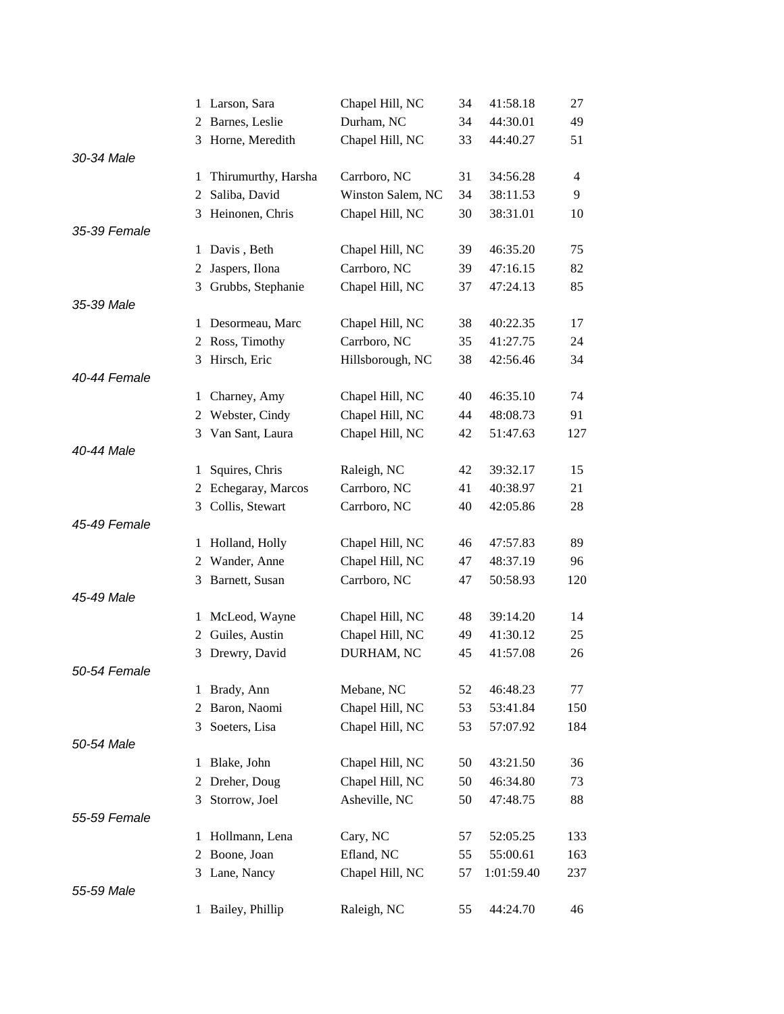|              |              | 1 Larson, Sara      | Chapel Hill, NC   | 34 | 41:58.18   | 27             |
|--------------|--------------|---------------------|-------------------|----|------------|----------------|
|              | 2            | Barnes, Leslie      | Durham, NC        | 34 | 44:30.01   | 49             |
|              | 3            | Horne, Meredith     | Chapel Hill, NC   | 33 | 44:40.27   | 51             |
| 30-34 Male   |              |                     |                   |    |            |                |
|              | 1            | Thirumurthy, Harsha | Carrboro, NC      | 31 | 34:56.28   | $\overline{4}$ |
|              | 2            | Saliba, David       | Winston Salem, NC | 34 | 38:11.53   | 9              |
|              |              | 3 Heinonen, Chris   | Chapel Hill, NC   | 30 | 38:31.01   | 10             |
| 35-39 Female |              |                     |                   |    |            |                |
|              | 1            | Davis, Beth         | Chapel Hill, NC   | 39 | 46:35.20   | 75             |
|              | 2            | Jaspers, Ilona      | Carrboro, NC      | 39 | 47:16.15   | 82             |
|              | 3            | Grubbs, Stephanie   | Chapel Hill, NC   | 37 | 47:24.13   | 85             |
| 35-39 Male   |              |                     |                   |    |            |                |
|              |              | 1 Desormeau, Marc   | Chapel Hill, NC   | 38 | 40:22.35   | 17             |
|              | 2            | Ross, Timothy       | Carrboro, NC      | 35 | 41:27.75   | 24             |
|              | 3            | Hirsch, Eric        | Hillsborough, NC  | 38 | 42:56.46   | 34             |
| 40-44 Female |              |                     |                   |    |            |                |
|              | $\mathbf{1}$ | Charney, Amy        | Chapel Hill, NC   | 40 | 46:35.10   | 74             |
|              | 2            | Webster, Cindy      | Chapel Hill, NC   | 44 | 48:08.73   | 91             |
|              | 3            | Van Sant, Laura     | Chapel Hill, NC   | 42 | 51:47.63   | 127            |
| 40-44 Male   |              |                     |                   |    |            |                |
|              | 1            | Squires, Chris      | Raleigh, NC       | 42 | 39:32.17   | 15             |
|              |              | 2 Echegaray, Marcos | Carrboro, NC      | 41 | 40:38.97   | 21             |
|              | 3            | Collis, Stewart     | Carrboro, NC      | 40 | 42:05.86   | 28             |
| 45-49 Female |              |                     |                   |    |            |                |
|              | 1            | Holland, Holly      | Chapel Hill, NC   | 46 | 47:57.83   | 89             |
|              | 2            | Wander, Anne        | Chapel Hill, NC   | 47 | 48:37.19   | 96             |
|              |              | 3 Barnett, Susan    | Carrboro, NC      | 47 | 50:58.93   | 120            |
| 45-49 Male   |              |                     |                   |    |            |                |
|              | 1            | McLeod, Wayne       | Chapel Hill, NC   | 48 | 39:14.20   | 14             |
|              | 2            | Guiles, Austin      | Chapel Hill, NC   | 49 | 41:30.12   | 25             |
|              | 3            | Drewry, David       | DURHAM, NC        | 45 | 41:57.08   | 26             |
| 50-54 Female |              |                     |                   |    |            |                |
|              | 1            | Brady, Ann          | Mebane, NC        | 52 | 46:48.23   | 77             |
|              | 2            | Baron, Naomi        | Chapel Hill, NC   | 53 | 53:41.84   | 150            |
|              | 3            | Soeters, Lisa       | Chapel Hill, NC   | 53 | 57:07.92   | 184            |
| 50-54 Male   |              |                     |                   |    |            |                |
|              | 1            | Blake, John         | Chapel Hill, NC   | 50 | 43:21.50   | 36             |
|              | 2            | Dreher, Doug        | Chapel Hill, NC   | 50 | 46:34.80   | 73             |
|              | 3            | Storrow, Joel       | Asheville, NC     | 50 | 47:48.75   | 88             |
| 55-59 Female |              |                     |                   |    |            |                |
|              | 1            | Hollmann, Lena      | Cary, NC          | 57 | 52:05.25   | 133            |
|              | 2            | Boone, Joan         | Efland, NC        | 55 | 55:00.61   | 163            |
|              | 3            | Lane, Nancy         | Chapel Hill, NC   | 57 | 1:01:59.40 | 237            |
| 55-59 Male   |              |                     |                   |    |            |                |
|              |              | 1 Bailey, Phillip   | Raleigh, NC       | 55 | 44:24.70   | 46             |